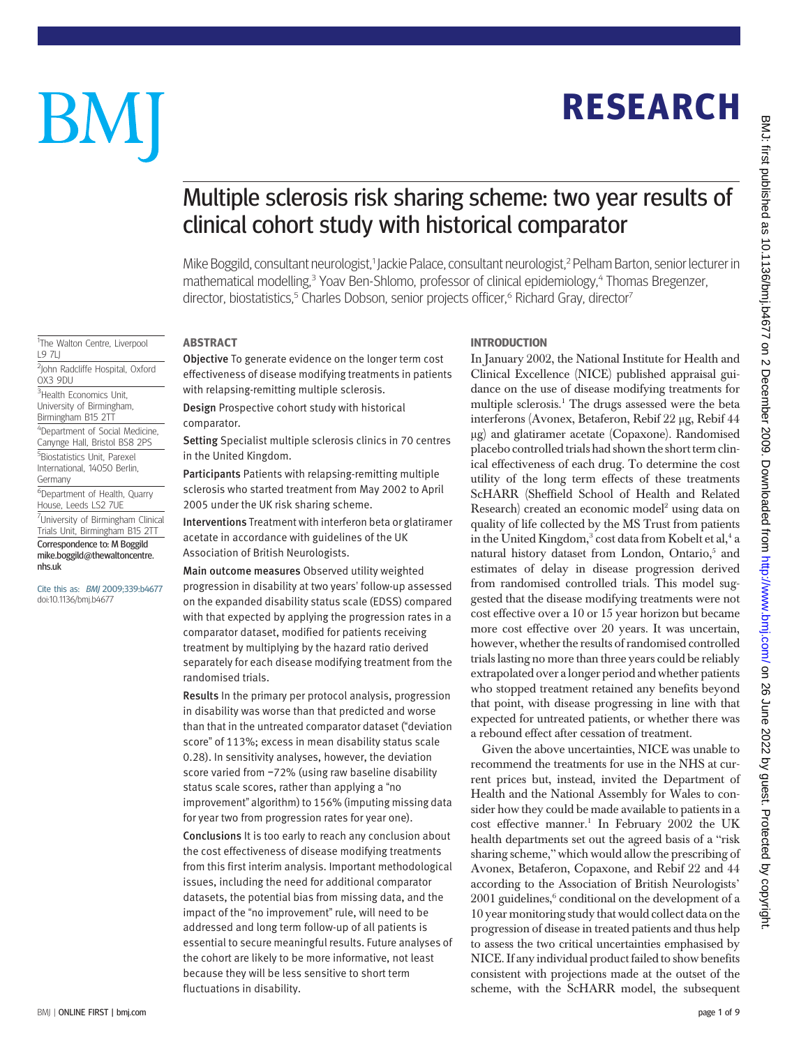# BM

<sup>1</sup>The Walton Centre, Liverpool

2 John Radcliffe Hospital, Oxford

6 Department of Health, Quarry House, Leeds LS2 7UE <sup>7</sup>University of Birmingham Clinical Trials Unit, Birmingham B15 2TT Correspondence to: M Boggild mike.boggild@thewaltoncentre.

Cite this as: BMJ 2009;339:b4677

doi:10.1136/bmj.b4677

<sup>3</sup>Health Economics Unit, University of Birmingham, Birmingham B15 2TT 4 Department of Social Medicine, Canynge Hall, Bristol BS8 2PS 5 Biostatistics Unit, Parexel International, 14050 Berlin,

L9 7LJ

OX3 9DU

Germany

nhs.uk

# **RESEARCH** RESEARCH

# BMJ: first published as 10.1136/bmj.b4677 on 2 December 2009. ms. Protected by copyright. Protected by Guest. Protected by a hearth published as 10.127 on 2022 by Guest. Protected is a hearth published by copyright. First published by copyright. That by 2022 on 2 December 2009. Downl Downloaded from http://www.bmj.com/ on 26 June 2022 by guest. Protected by copyright

# Multiple sclerosis risk sharing scheme: two year results of clinical cohort study with historical comparator

Mike Boggild, consultant neurologist,<sup>1</sup> Jackie Palace, consultant neurologist,<sup>2</sup> Pelham Barton, senior lecturer in mathematical modelling,<sup>3</sup> Yoav Ben-Shlomo, professor of clinical epidemiology,<sup>4</sup> Thomas Bregenzer, director, biostatistics,<sup>5</sup> Charles Dobson, senior projects officer,<sup>6</sup> Richard Gray, director<sup>7</sup>

**ABSTRACT** 

-----------<br>Objective To generate evidence on the longer term cost effectiveness of disease modifying treatments in patients with relapsing-remitting multiple sclerosis.

Design Prospective cohort study with historical comparator.

Setting Specialist multiple sclerosis clinics in 70 centres in the United Kingdom.

Participants Patients with relapsing-remitting multiple sclerosis who started treatment from May 2002 to April 2005 under the UK risk sharing scheme.

Interventions Treatment with interferon beta or glatiramer acetate in accordance with guidelines of the UK Association of British Neurologists.

Main outcome measures Observed utility weighted progression in disability at two years' follow-up assessed on the expanded disability status scale (EDSS) compared with that expected by applying the progression rates in a comparator dataset, modified for patients receiving treatment by multiplying by the hazard ratio derived separately for each disease modifying treatment from the randomised trials.

Results In the primary per protocol analysis, progression in disability was worse than that predicted and worse than that in the untreated comparator dataset ("deviation score" of 113%; excess in mean disability status scale 0.28). In sensitivity analyses, however, the deviation score varied from −72% (using raw baseline disability status scale scores, rather than applying a "no improvement" algorithm) to 156% (imputing missing data for year two from progression rates for year one).

Conclusions It is too early to reach any conclusion about the cost effectiveness of disease modifying treatments from this first interim analysis. Important methodological issues, including the need for additional comparator datasets, the potential bias from missing data, and the impact of the "no improvement" rule, will need to be addressed and long term follow-up of all patients is essential to secure meaningful results. Future analyses of the cohort are likely to be more informative, not least because they will be less sensitive to short term fluctuations in disability.

## **INTRODUCTION**

In January 2002, the National Institute for Health and Clinical Excellence (NICE) published appraisal guidance on the use of disease modifying treatments for multiple sclerosis.<sup>1</sup> The drugs assessed were the beta interferons (Avonex, Betaferon, Rebif 22 μg, Rebif 44 μg) and glatiramer acetate (Copaxone). Randomised placebo controlled trials had shown the short term clinical effectiveness of each drug. To determine the cost utility of the long term effects of these treatments ScHARR (Sheffield School of Health and Related Research) created an economic model<sup>2</sup> using data on quality of life collected by the MS Trust from patients in the United Kingdom, $3$  cost data from Kobelt et al, $4$  a natural history dataset from London, Ontario,<sup>5</sup> and estimates of delay in disease progression derived from randomised controlled trials. This model suggested that the disease modifying treatments were not cost effective over a 10 or 15 year horizon but became more cost effective over 20 years. It was uncertain, however, whether the results of randomised controlled trials lasting no more than three years could be reliably extrapolated over a longer period and whether patients who stopped treatment retained any benefits beyond that point, with disease progressing in line with that expected for untreated patients, or whether there was a rebound effect after cessation of treatment.

Given the above uncertainties, NICE was unable to recommend the treatments for use in the NHS at current prices but, instead, invited the Department of Health and the National Assembly for Wales to consider how they could be made available to patients in a cost effective manner.<sup>1</sup> In February 2002 the UK health departments set out the agreed basis of a "risk sharing scheme," which would allow the prescribing of Avonex, Betaferon, Copaxone, and Rebif 22 and 44 according to the Association of British Neurologists'  $2001$  guidelines, $6$  conditional on the development of a 10 year monitoring study that would collect data on the progression of disease in treated patients and thus help to assess the two critical uncertainties emphasised by NICE. If any individual product failed to show benefits consistent with projections made at the outset of the scheme, with the ScHARR model, the subsequent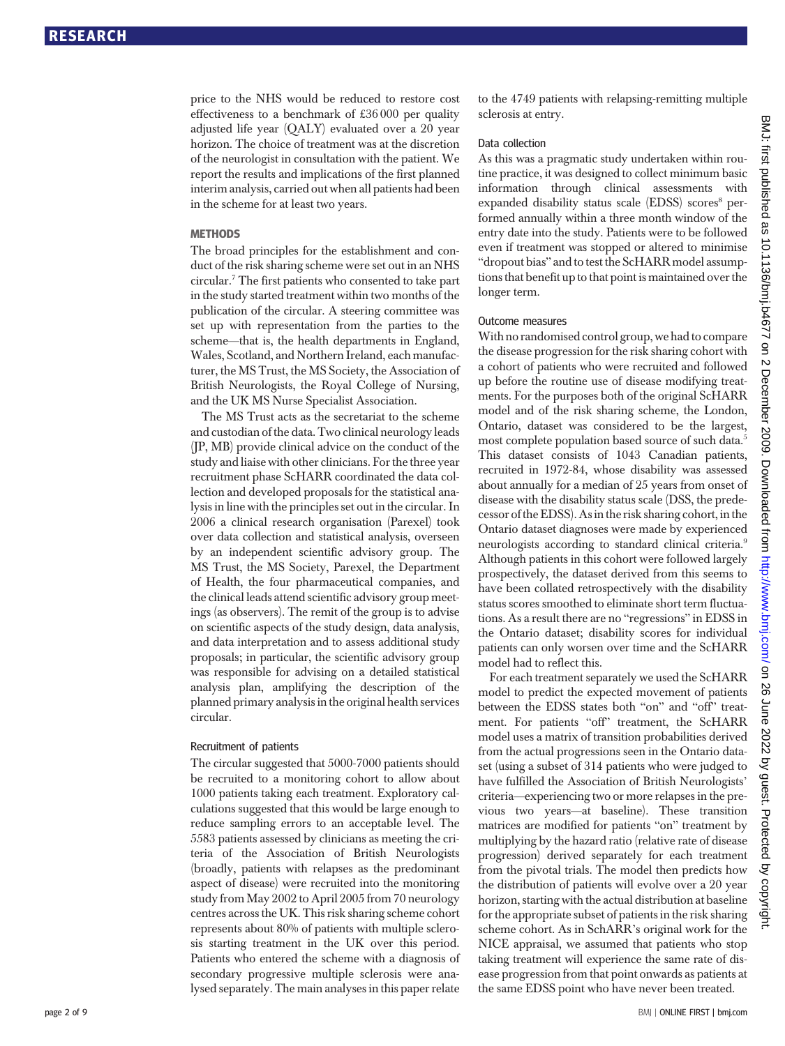price to the NHS would be reduced to restore cost effectiveness to a benchmark of £36 000 per quality adjusted life year (QALY) evaluated over a 20 year horizon. The choice of treatment was at the discretion of the neurologist in consultation with the patient. We report the results and implications of the first planned interim analysis, carried out when all patients had been in the scheme for at least two years.

### **METHODS**

The broad principles for the establishment and conduct of the risk sharing scheme were set out in an NHS circular.7 The first patients who consented to take part in the study started treatment within two months of the publication of the circular. A steering committee was set up with representation from the parties to the scheme—that is, the health departments in England, Wales, Scotland, and Northern Ireland, each manufacturer, the MS Trust, the MS Society, the Association of British Neurologists, the Royal College of Nursing, and the UK MS Nurse Specialist Association.

The MS Trust acts as the secretariat to the scheme and custodian of the data. Two clinical neurology leads (JP, MB) provide clinical advice on the conduct of the study and liaise with other clinicians. For the three year recruitment phase ScHARR coordinated the data collection and developed proposals for the statistical analysis in line with the principles set out in the circular. In 2006 a clinical research organisation (Parexel) took over data collection and statistical analysis, overseen by an independent scientific advisory group. The MS Trust, the MS Society, Parexel, the Department of Health, the four pharmaceutical companies, and the clinical leads attend scientific advisory group meetings (as observers). The remit of the group is to advise on scientific aspects of the study design, data analysis, and data interpretation and to assess additional study proposals; in particular, the scientific advisory group was responsible for advising on a detailed statistical analysis plan, amplifying the description of the planned primary analysis in the original health services circular.

### Recruitment of patients

The circular suggested that 5000-7000 patients should be recruited to a monitoring cohort to allow about 1000 patients taking each treatment. Exploratory calculations suggested that this would be large enough to reduce sampling errors to an acceptable level. The 5583 patients assessed by clinicians as meeting the criteria of the Association of British Neurologists (broadly, patients with relapses as the predominant aspect of disease) were recruited into the monitoring study from May 2002 to April 2005 from 70 neurology centres across the UK. This risk sharing scheme cohort represents about 80% of patients with multiple sclerosis starting treatment in the UK over this period. Patients who entered the scheme with a diagnosis of secondary progressive multiple sclerosis were analysed separately. The main analyses in this paper relate to the 4749 patients with relapsing-remitting multiple sclerosis at entry.

### Data collection

As this was a pragmatic study undertaken within routine practice, it was designed to collect minimum basic information through clinical assessments with expanded disability status scale (EDSS) scores<sup>8</sup> performed annually within a three month window of the entry date into the study. Patients were to be followed even if treatment was stopped or altered to minimise "dropout bias" and to test the ScHARR model assumptions that benefit up to that point is maintained over the longer term.

### Outcome measures

With no randomised control group, we had to compare the disease progression for the risk sharing cohort with a cohort of patients who were recruited and followed up before the routine use of disease modifying treatments. For the purposes both of the original ScHARR model and of the risk sharing scheme, the London, Ontario, dataset was considered to be the largest, most complete population based source of such data.<sup>5</sup> This dataset consists of 1043 Canadian patients, recruited in 1972-84, whose disability was assessed about annually for a median of 25 years from onset of disease with the disability status scale (DSS, the predecessor of the EDSS). As in the risk sharing cohort, in the Ontario dataset diagnoses were made by experienced neurologists according to standard clinical criteria.<sup>9</sup> Although patients in this cohort were followed largely prospectively, the dataset derived from this seems to have been collated retrospectively with the disability status scores smoothed to eliminate short term fluctuations. As a result there are no "regressions" in EDSS in the Ontario dataset; disability scores for individual patients can only worsen over time and the ScHARR model had to reflect this.

For each treatment separately we used the ScHARR model to predict the expected movement of patients between the EDSS states both "on" and "off" treatment. For patients "off" treatment, the ScHARR model uses a matrix of transition probabilities derived from the actual progressions seen in the Ontario dataset (using a subset of 314 patients who were judged to have fulfilled the Association of British Neurologists' criteria—experiencing two or more relapses in the previous two years—at baseline). These transition matrices are modified for patients "on" treatment by multiplying by the hazard ratio (relative rate of disease progression) derived separately for each treatment from the pivotal trials. The model then predicts how the distribution of patients will evolve over a 20 year horizon, starting with the actual distribution at baseline for the appropriate subset of patients in the risk sharing scheme cohort. As in SchARR's original work for the NICE appraisal, we assumed that patients who stop taking treatment will experience the same rate of disease progression from that point onwards as patients at the same EDSS point who have never been treated.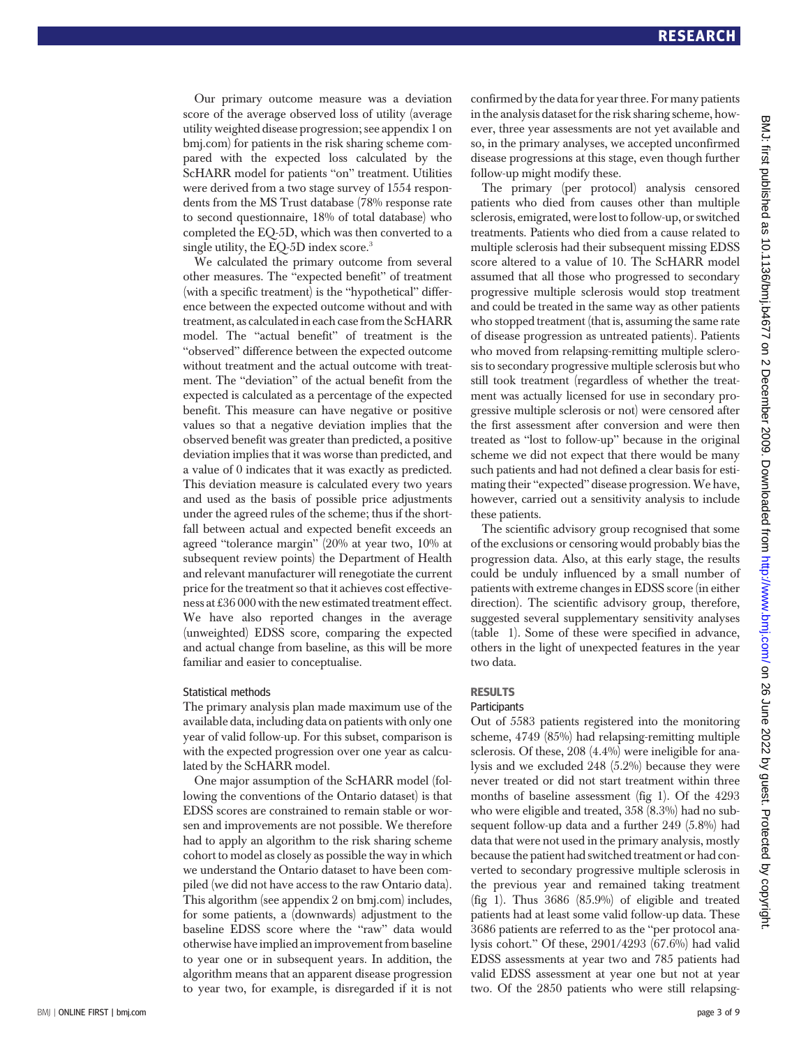Our primary outcome measure was a deviation score of the average observed loss of utility (average utility weighted disease progression; see appendix 1 on bmj.com) for patients in the risk sharing scheme compared with the expected loss calculated by the ScHARR model for patients "on" treatment. Utilities were derived from a two stage survey of 1554 respondents from the MS Trust database (78% response rate to second questionnaire, 18% of total database) who completed the EQ-5D, which was then converted to a single utility, the EO-5D index score.<sup>3</sup>

We calculated the primary outcome from several other measures. The "expected benefit" of treatment (with a specific treatment) is the "hypothetical" difference between the expected outcome without and with treatment, as calculated in each case from the ScHARR model. The "actual benefit" of treatment is the "observed" difference between the expected outcome without treatment and the actual outcome with treatment. The "deviation" of the actual benefit from the expected is calculated as a percentage of the expected benefit. This measure can have negative or positive values so that a negative deviation implies that the observed benefit was greater than predicted, a positive deviation implies that it was worse than predicted, and a value of 0 indicates that it was exactly as predicted. This deviation measure is calculated every two years and used as the basis of possible price adjustments under the agreed rules of the scheme; thus if the shortfall between actual and expected benefit exceeds an agreed "tolerance margin" (20% at year two, 10% at subsequent review points) the Department of Health and relevant manufacturer will renegotiate the current price for the treatment so that it achieves cost effectiveness at £36 000 with the new estimated treatment effect. We have also reported changes in the average (unweighted) EDSS score, comparing the expected and actual change from baseline, as this will be more familiar and easier to conceptualise.

### Statistical methods

The primary analysis plan made maximum use of the available data, including data on patients with only one year of valid follow-up. For this subset, comparison is with the expected progression over one year as calculated by the ScHARR model.

One major assumption of the ScHARR model (following the conventions of the Ontario dataset) is that EDSS scores are constrained to remain stable or worsen and improvements are not possible. We therefore had to apply an algorithm to the risk sharing scheme cohort to model as closely as possible the way in which we understand the Ontario dataset to have been compiled (we did not have access to the raw Ontario data). This algorithm (see appendix 2 on bmj.com) includes, for some patients, a (downwards) adjustment to the baseline EDSS score where the "raw" data would otherwise have implied an improvement from baseline to year one or in subsequent years. In addition, the algorithm means that an apparent disease progression to year two, for example, is disregarded if it is not confirmed by the data for year three. For many patients in the analysis dataset for the risk sharing scheme, however, three year assessments are not yet available and so, in the primary analyses, we accepted unconfirmed disease progressions at this stage, even though further follow-up might modify these.

The primary (per protocol) analysis censored patients who died from causes other than multiple sclerosis, emigrated, were lost to follow-up, or switched treatments. Patients who died from a cause related to multiple sclerosis had their subsequent missing EDSS score altered to a value of 10. The ScHARR model assumed that all those who progressed to secondary progressive multiple sclerosis would stop treatment and could be treated in the same way as other patients who stopped treatment (that is, assuming the same rate of disease progression as untreated patients). Patients who moved from relapsing-remitting multiple sclerosis to secondary progressive multiple sclerosis but who still took treatment (regardless of whether the treatment was actually licensed for use in secondary progressive multiple sclerosis or not) were censored after the first assessment after conversion and were then treated as "lost to follow-up" because in the original scheme we did not expect that there would be many such patients and had not defined a clear basis for estimating their "expected" disease progression. We have, however, carried out a sensitivity analysis to include these patients.

The scientific advisory group recognised that some of the exclusions or censoring would probably bias the progression data. Also, at this early stage, the results could be unduly influenced by a small number of patients with extreme changes in EDSS score (in either direction). The scientific advisory group, therefore, suggested several supplementary sensitivity analyses (table 1). Some of these were specified in advance, others in the light of unexpected features in the year two data.

# Participants

Out of 5583 patients registered into the monitoring scheme, 4749 (85%) had relapsing-remitting multiple sclerosis. Of these, 208 (4.4%) were ineligible for analysis and we excluded 248 (5.2%) because they were never treated or did not start treatment within three months of baseline assessment (fig 1). Of the 4293 who were eligible and treated, 358 (8.3%) had no subsequent follow-up data and a further 249 (5.8%) had data that were not used in the primary analysis, mostly because the patient had switched treatment or had converted to secondary progressive multiple sclerosis in the previous year and remained taking treatment (fig 1). Thus 3686 (85.9%) of eligible and treated patients had at least some valid follow-up data. These 3686 patients are referred to as the "per protocol analysis cohort." Of these, 2901/4293 (67.6%) had valid EDSS assessments at year two and 785 patients had valid EDSS assessment at year one but not at year two. Of the 2850 patients who were still relapsing-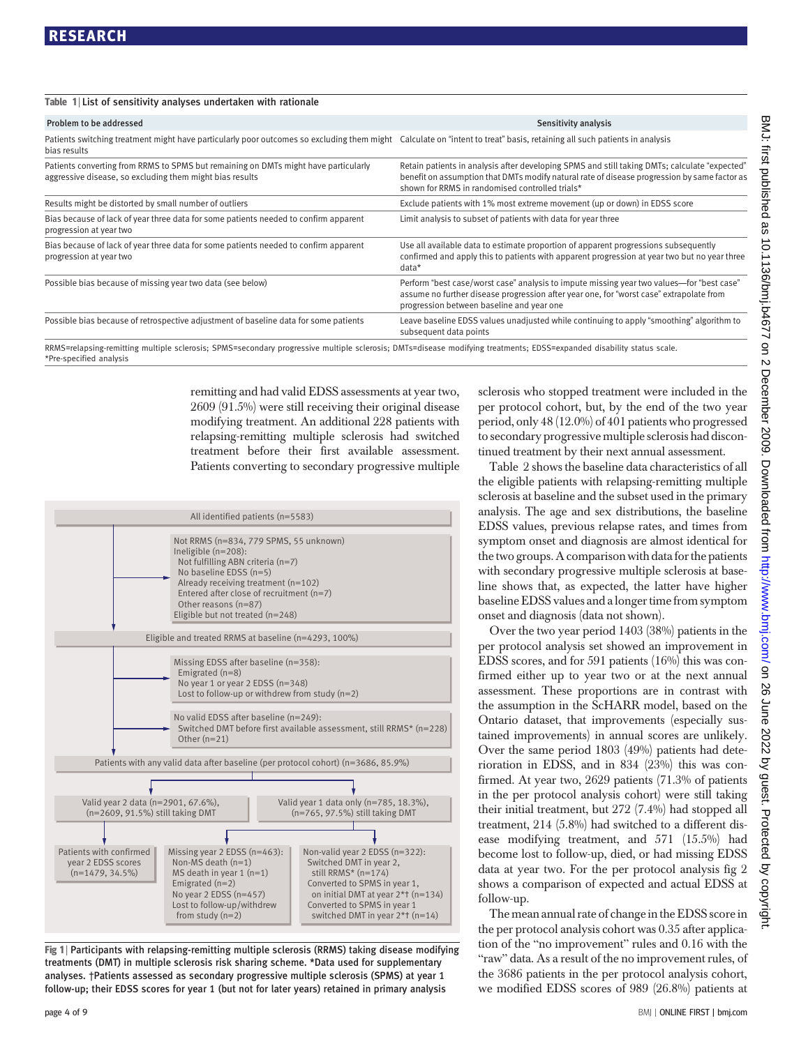### Table 1 | List of sensitivity analyses undertaken with rationale

| Problem to be addressed                                                                                                                                                                  | Sensitivity analysis                                                                                                                                                                                                                             |  |  |
|------------------------------------------------------------------------------------------------------------------------------------------------------------------------------------------|--------------------------------------------------------------------------------------------------------------------------------------------------------------------------------------------------------------------------------------------------|--|--|
| Patients switching treatment might have particularly poor outcomes so excluding them might Calculate on "intent to treat" basis, retaining all such patients in analysis<br>bias results |                                                                                                                                                                                                                                                  |  |  |
| Patients converting from RRMS to SPMS but remaining on DMTs might have particularly<br>aggressive disease, so excluding them might bias results                                          | Retain patients in analysis after developing SPMS and still taking DMTs; calculate "expected"<br>benefit on assumption that DMTs modify natural rate of disease progression by same factor as<br>shown for RRMS in randomised controlled trials* |  |  |
| Results might be distorted by small number of outliers                                                                                                                                   | Exclude patients with 1% most extreme movement (up or down) in EDSS score                                                                                                                                                                        |  |  |
| Bias because of lack of year three data for some patients needed to confirm apparent<br>progression at year two                                                                          | Limit analysis to subset of patients with data for year three                                                                                                                                                                                    |  |  |
| Bias because of lack of year three data for some patients needed to confirm apparent<br>progression at year two                                                                          | Use all available data to estimate proportion of apparent progressions subsequently<br>confirmed and apply this to patients with apparent progression at year two but no year three<br>data*                                                     |  |  |
| Possible bias because of missing year two data (see below)                                                                                                                               | Perform "best case/worst case" analysis to impute missing year two values—for "best case"<br>assume no further disease progression after year one, for "worst case" extrapolate from<br>progression between baseline and year one                |  |  |
| Possible bias because of retrospective adjustment of baseline data for some patients                                                                                                     | Leave baseline EDSS values unadjusted while continuing to apply "smoothing" algorithm to<br>subsequent data points                                                                                                                               |  |  |
| RRMS=relapsing-remitting multiple sclerosis; SPMS=secondary progressive multiple sclerosis; DMTs=disease modifying treatments; EDSS=expanded disability status scale.                    |                                                                                                                                                                                                                                                  |  |  |

\*Pre-specified analysis

remitting and had valid EDSS assessments at year two, 2609 (91.5%) were still receiving their original disease modifying treatment. An additional 228 patients with relapsing-remitting multiple sclerosis had switched treatment before their first available assessment. Patients converting to secondary progressive multiple



Fig 1 | Participants with relapsing-remitting multiple sclerosis (RRMS) taking disease modifying treatments (DMT) in multiple sclerosis risk sharing scheme. \*Data used for supplementary analyses. †Patients assessed as secondary progressive multiple sclerosis (SPMS) at year 1 follow-up; their EDSS scores for year 1 (but not for later years) retained in primary analysis

sclerosis who stopped treatment were included in the per protocol cohort, but, by the end of the two year period, only 48 (12.0%) of 401 patients who progressed to secondary progressive multiple sclerosis had discontinued treatment by their next annual assessment.

Table 2 shows the baseline data characteristics of all the eligible patients with relapsing-remitting multiple sclerosis at baseline and the subset used in the primary analysis. The age and sex distributions, the baseline EDSS values, previous relapse rates, and times from symptom onset and diagnosis are almost identical for the two groups. A comparison with data for the patients with secondary progressive multiple sclerosis at baseline shows that, as expected, the latter have higher baseline EDSS values and a longer time from symptom onset and diagnosis (data not shown).

Over the two year period 1403 (38%) patients in the per protocol analysis set showed an improvement in EDSS scores, and for 591 patients (16%) this was confirmed either up to year two or at the next annual assessment. These proportions are in contrast with the assumption in the ScHARR model, based on the Ontario dataset, that improvements (especially sustained improvements) in annual scores are unlikely. Over the same period 1803 (49%) patients had deterioration in EDSS, and in 834 (23%) this was confirmed. At year two, 2629 patients (71.3% of patients in the per protocol analysis cohort) were still taking their initial treatment, but 272 (7.4%) had stopped all treatment, 214 (5.8%) had switched to a different disease modifying treatment, and 571 (15.5%) had become lost to follow-up, died, or had missing EDSS data at year two. For the per protocol analysis fig 2 shows a comparison of expected and actual EDSS at follow-up.

The mean annual rate of change in the EDSS score in the per protocol analysis cohort was 0.35 after application of the "no improvement" rules and 0.16 with the "raw" data. As a result of the no improvement rules, of the 3686 patients in the per protocol analysis cohort, we modified EDSS scores of 989 (26.8%) patients at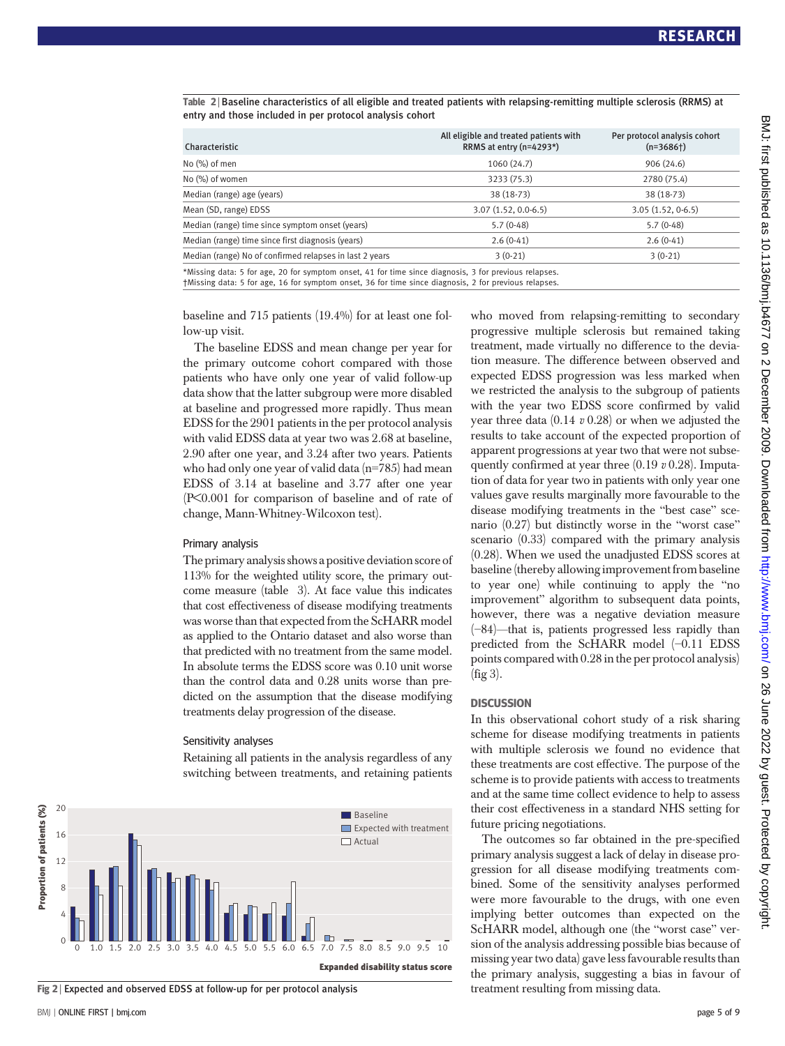| Characteristic                                                                                                                                                                                                 | All eligible and treated patients with<br>RRMS at entry $(n=4293*)$ | Per protocol analysis cohort<br>$(n=3686+)$ |  |  |  |  |
|----------------------------------------------------------------------------------------------------------------------------------------------------------------------------------------------------------------|---------------------------------------------------------------------|---------------------------------------------|--|--|--|--|
| No (%) of men                                                                                                                                                                                                  | 1060 (24.7)                                                         | 906(24.6)                                   |  |  |  |  |
| No (%) of women                                                                                                                                                                                                | 3233 (75.3)                                                         | 2780 (75.4)                                 |  |  |  |  |
| Median (range) age (years)                                                                                                                                                                                     | 38 (18-73)                                                          | 38 (18-73)                                  |  |  |  |  |
| Mean (SD, range) EDSS                                                                                                                                                                                          | 3.07(1.52, 0.0.6.5)                                                 | 3.05(1.52, 0.6.5)                           |  |  |  |  |
| Median (range) time since symptom onset (years)                                                                                                                                                                | $5.7(0-48)$                                                         | $5.7(0-48)$                                 |  |  |  |  |
| Median (range) time since first diagnosis (years)                                                                                                                                                              | $2.6(0-41)$                                                         | $2.6(0-41)$                                 |  |  |  |  |
| Median (range) No of confirmed relapses in last 2 years                                                                                                                                                        | $3(0-21)$                                                           | $3(0-21)$                                   |  |  |  |  |
| *Missing data: 5 for age, 20 for symptom onset, 41 for time since diagnosis, 3 for previous relapses.<br>†Missing data: 5 for age, 16 for symptom onset, 36 for time since diagnosis, 2 for previous relapses. |                                                                     |                                             |  |  |  |  |

Table 2 <sup>|</sup> Baseline characteristics of all eligible and treated patients with relapsing-remitting multiple sclerosis (RRMS) at entry and those included in per protocol analysis cohort

baseline and 715 patients (19.4%) for at least one follow-up visit.

The baseline EDSS and mean change per year for the primary outcome cohort compared with those patients who have only one year of valid follow-up data show that the latter subgroup were more disabled at baseline and progressed more rapidly. Thus mean EDSS for the 2901 patients in the per protocol analysis with valid EDSS data at year two was 2.68 at baseline, 2.90 after one year, and 3.24 after two years. Patients who had only one year of valid data (n=785) had mean EDSS of 3.14 at baseline and 3.77 after one year (P<0.001 for comparison of baseline and of rate of change, Mann-Whitney-Wilcoxon test).

### Primary analysis

The primary analysis shows a positive deviation score of 113% for the weighted utility score, the primary outcome measure (table 3). At face value this indicates that cost effectiveness of disease modifying treatments was worse than that expected from the ScHARR model as applied to the Ontario dataset and also worse than that predicted with no treatment from the same model. In absolute terms the EDSS score was 0.10 unit worse than the control data and 0.28 units worse than predicted on the assumption that the disease modifying treatments delay progression of the disease.

### Sensitivity analyses

Retaining all patients in the analysis regardless of any switching between treatments, and retaining patients



Fig 2 | Expected and observed EDSS at follow-up for per protocol analysis

who moved from relapsing-remitting to secondary progressive multiple sclerosis but remained taking treatment, made virtually no difference to the deviation measure. The difference between observed and expected EDSS progression was less marked when we restricted the analysis to the subgroup of patients with the year two EDSS score confirmed by valid year three data  $(0.14 v 0.28)$  or when we adjusted the results to take account of the expected proportion of apparent progressions at year two that were not subsequently confirmed at year three  $(0.19 v 0.28)$ . Imputation of data for year two in patients with only year one values gave results marginally more favourable to the disease modifying treatments in the "best case" scenario (0.27) but distinctly worse in the "worst case" scenario (0.33) compared with the primary analysis (0.28). When we used the unadjusted EDSS scores at baseline (thereby allowing improvement from baseline to year one) while continuing to apply the "no improvement" algorithm to subsequent data points, however, there was a negative deviation measure (−84)—that is, patients progressed less rapidly than predicted from the ScHARR model (−0.11 EDSS points compared with 0.28 in the per protocol analysis) (fig 3).

In this observational cohort study of a risk sharing scheme for disease modifying treatments in patients with multiple sclerosis we found no evidence that these treatments are cost effective. The purpose of the scheme is to provide patients with access to treatments and at the same time collect evidence to help to assess their cost effectiveness in a standard NHS setting for future pricing negotiations.

The outcomes so far obtained in the pre-specified primary analysis suggest a lack of delay in disease progression for all disease modifying treatments combined. Some of the sensitivity analyses performed were more favourable to the drugs, with one even implying better outcomes than expected on the ScHARR model, although one (the "worst case" version of the analysis addressing possible bias because of missing year two data) gave less favourable results than the primary analysis, suggesting a bias in favour of treatment resulting from missing data.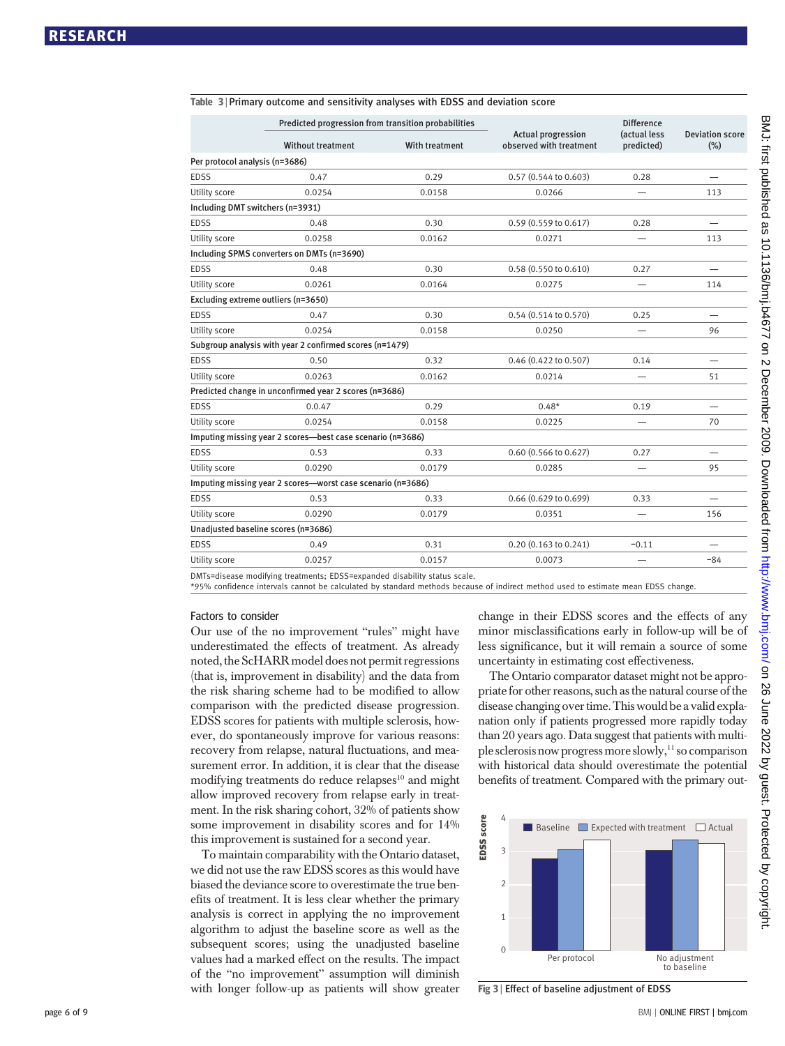|                                  | Predicted progression from transition probabilities         |                       | <b>Actual progression</b> | <b>Difference</b><br>(actual less | <b>Deviation score</b> |
|----------------------------------|-------------------------------------------------------------|-----------------------|---------------------------|-----------------------------------|------------------------|
|                                  | <b>Without treatment</b>                                    | <b>With treatment</b> | observed with treatment   | predicted)                        | $(\%)$                 |
| Per protocol analysis (n=3686)   |                                                             |                       |                           |                                   |                        |
| <b>EDSS</b>                      | 0.47                                                        | 0.29                  | 0.57 (0.544 to 0.603)     | 0.28                              |                        |
| Utility score                    | 0.0254                                                      | 0.0158                | 0.0266                    |                                   | 113                    |
| Including DMT switchers (n=3931) |                                                             |                       |                           |                                   |                        |
| <b>EDSS</b>                      | 0.48                                                        | 0.30                  | $0.59$ (0.559 to 0.617)   | 0.28                              |                        |
| Utility score                    | 0.0258                                                      | 0.0162                | 0.0271                    |                                   | 113                    |
|                                  | Including SPMS converters on DMTs (n=3690)                  |                       |                           |                                   |                        |
| <b>EDSS</b>                      | 0.48                                                        | 0.30                  | 0.58 (0.550 to 0.610)     | 0.27                              |                        |
| Utility score                    | 0.0261                                                      | 0.0164                | 0.0275                    |                                   | 114                    |
|                                  | Excluding extreme outliers (n=3650)                         |                       |                           |                                   |                        |
| <b>EDSS</b>                      | 0.47                                                        | 0.30                  | 0.54 (0.514 to 0.570)     | 0.25                              |                        |
| Utility score                    | 0.0254                                                      | 0.0158                | 0.0250                    |                                   | 96                     |
|                                  | Subgroup analysis with year 2 confirmed scores (n=1479)     |                       |                           |                                   |                        |
| <b>EDSS</b>                      | 0.50                                                        | 0.32                  | 0.46 (0.422 to 0.507)     | 0.14                              |                        |
| Utility score                    | 0.0263                                                      | 0.0162                | 0.0214                    |                                   | 51                     |
|                                  | Predicted change in unconfirmed year 2 scores (n=3686)      |                       |                           |                                   |                        |
| <b>EDSS</b>                      | 0.0.47                                                      | 0.29                  | $0.48*$                   | 0.19                              | -                      |
| Utility score                    | 0.0254                                                      | 0.0158                | 0.0225                    |                                   | 70                     |
|                                  | Imputing missing year 2 scores-best case scenario (n=3686)  |                       |                           |                                   |                        |
| <b>EDSS</b>                      | 0.53                                                        | 0.33                  | 0.60 (0.566 to 0.627)     | 0.27                              |                        |
| Utility score                    | 0.0290                                                      | 0.0179                | 0.0285                    |                                   | 95                     |
|                                  | Imputing missing year 2 scores-worst case scenario (n=3686) |                       |                           |                                   |                        |
| <b>EDSS</b>                      | 0.53                                                        | 0.33                  | 0.66 (0.629 to 0.699)     | 0.33                              |                        |
| Utility score                    | 0.0290                                                      | 0.0179                | 0.0351                    |                                   | 156                    |
|                                  | Unadjusted baseline scores (n=3686)                         |                       |                           |                                   |                        |
| <b>EDSS</b>                      | 0.49                                                        | 0.31                  | 0.20 (0.163 to 0.241)     | $-0.11$                           |                        |
| Utility score                    | 0.0257                                                      | 0.0157                | 0.0073                    |                                   | $-84$                  |
|                                  |                                                             |                       |                           |                                   |                        |

### Table 3 <sup>|</sup> Primary outcome and sensitivity analyses with EDSS and deviation score

DMTs=disease modifying treatments; EDSS=expanded disability status scale.

\*95% confidence intervals cannot be calculated by standard methods because of indirect method used to estimate mean EDSS change.

### Factors to consider

Our use of the no improvement "rules" might have underestimated the effects of treatment. As already noted, the ScHARR model does not permit regressions (that is, improvement in disability) and the data from the risk sharing scheme had to be modified to allow comparison with the predicted disease progression. EDSS scores for patients with multiple sclerosis, however, do spontaneously improve for various reasons: recovery from relapse, natural fluctuations, and measurement error. In addition, it is clear that the disease modifying treatments do reduce relapses<sup>10</sup> and might allow improved recovery from relapse early in treatment. In the risk sharing cohort, 32% of patients show some improvement in disability scores and for 14% this improvement is sustained for a second year.

To maintain comparability with the Ontario dataset, we did not use the raw EDSS scores as this would have biased the deviance score to overestimate the true benefits of treatment. It is less clear whether the primary analysis is correct in applying the no improvement algorithm to adjust the baseline score as well as the subsequent scores; using the unadjusted baseline values had a marked effect on the results. The impact of the "no improvement" assumption will diminish with longer follow-up as patients will show greater change in their EDSS scores and the effects of any minor misclassifications early in follow-up will be of less significance, but it will remain a source of some uncertainty in estimating cost effectiveness.

The Ontario comparator dataset might not be appropriate for other reasons, such as the natural course of the disease changing over time. This would be a valid explanation only if patients progressed more rapidly today than 20 years ago. Data suggest that patients with multiple sclerosis now progress more slowly, $11$  so comparison with historical data should overestimate the potential benefits of treatment. Compared with the primary out-



Fig 3 <sup>|</sup> Effect of baseline adjustment of EDSS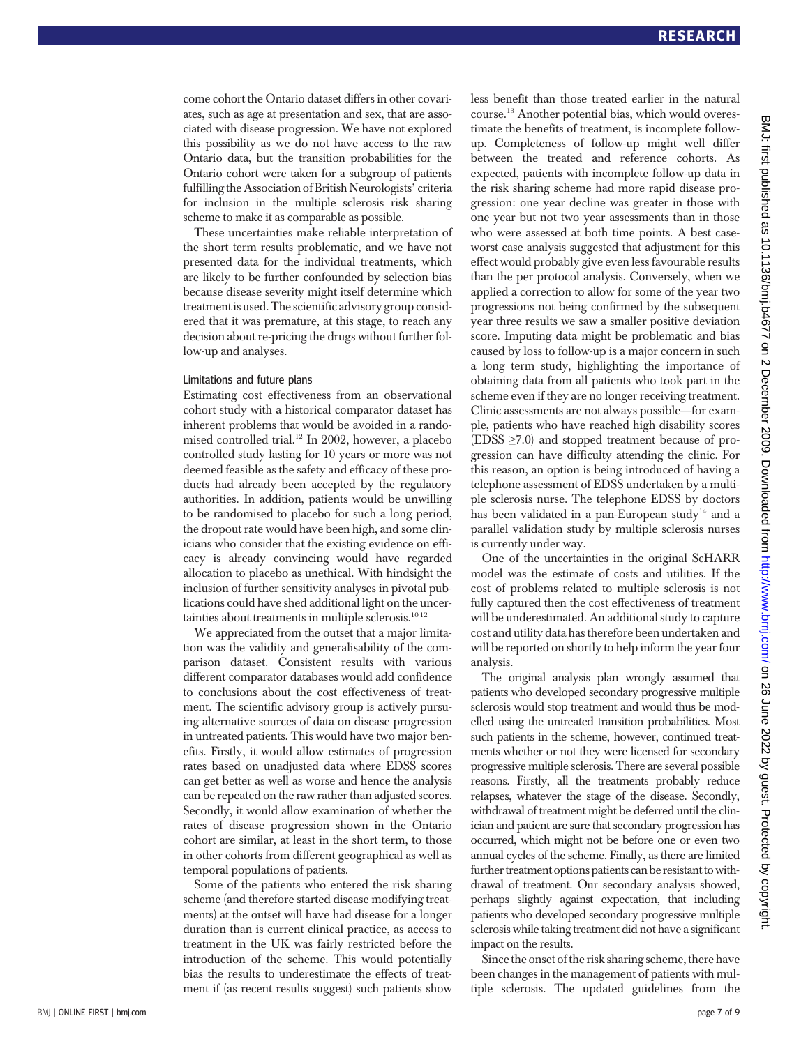come cohort the Ontario dataset differs in other covariates, such as age at presentation and sex, that are associated with disease progression. We have not explored this possibility as we do not have access to the raw Ontario data, but the transition probabilities for the Ontario cohort were taken for a subgroup of patients fulfilling the Association of British Neurologists' criteria for inclusion in the multiple sclerosis risk sharing scheme to make it as comparable as possible.

These uncertainties make reliable interpretation of the short term results problematic, and we have not presented data for the individual treatments, which are likely to be further confounded by selection bias because disease severity might itself determine which treatment is used. The scientific advisory group considered that it was premature, at this stage, to reach any decision about re-pricing the drugs without further follow-up and analyses.

### Limitations and future plans

Estimating cost effectiveness from an observational cohort study with a historical comparator dataset has inherent problems that would be avoided in a randomised controlled trial.<sup>12</sup> In 2002, however, a placebo controlled study lasting for 10 years or more was not deemed feasible as the safety and efficacy of these products had already been accepted by the regulatory authorities. In addition, patients would be unwilling to be randomised to placebo for such a long period, the dropout rate would have been high, and some clinicians who consider that the existing evidence on efficacy is already convincing would have regarded allocation to placebo as unethical. With hindsight the inclusion of further sensitivity analyses in pivotal publications could have shed additional light on the uncertainties about treatments in multiple sclerosis.<sup>1012</sup>

We appreciated from the outset that a major limitation was the validity and generalisability of the comparison dataset. Consistent results with various different comparator databases would add confidence to conclusions about the cost effectiveness of treatment. The scientific advisory group is actively pursuing alternative sources of data on disease progression in untreated patients. This would have two major benefits. Firstly, it would allow estimates of progression rates based on unadjusted data where EDSS scores can get better as well as worse and hence the analysis can be repeated on the raw rather than adjusted scores. Secondly, it would allow examination of whether the rates of disease progression shown in the Ontario cohort are similar, at least in the short term, to those in other cohorts from different geographical as well as temporal populations of patients.

Some of the patients who entered the risk sharing scheme (and therefore started disease modifying treatments) at the outset will have had disease for a longer duration than is current clinical practice, as access to treatment in the UK was fairly restricted before the introduction of the scheme. This would potentially bias the results to underestimate the effects of treatment if (as recent results suggest) such patients show less benefit than those treated earlier in the natural course.13 Another potential bias, which would overestimate the benefits of treatment, is incomplete followup. Completeness of follow-up might well differ between the treated and reference cohorts. As expected, patients with incomplete follow-up data in the risk sharing scheme had more rapid disease progression: one year decline was greater in those with one year but not two year assessments than in those who were assessed at both time points. A best caseworst case analysis suggested that adjustment for this effect would probably give even less favourable results than the per protocol analysis. Conversely, when we applied a correction to allow for some of the year two progressions not being confirmed by the subsequent year three results we saw a smaller positive deviation score. Imputing data might be problematic and bias caused by loss to follow-up is a major concern in such a long term study, highlighting the importance of obtaining data from all patients who took part in the scheme even if they are no longer receiving treatment. Clinic assessments are not always possible—for example, patients who have reached high disability scores  $(EDSS \geq 7.0)$  and stopped treatment because of progression can have difficulty attending the clinic. For this reason, an option is being introduced of having a telephone assessment of EDSS undertaken by a multiple sclerosis nurse. The telephone EDSS by doctors has been validated in a pan-European study<sup>14</sup> and a parallel validation study by multiple sclerosis nurses is currently under way.

One of the uncertainties in the original ScHARR model was the estimate of costs and utilities. If the cost of problems related to multiple sclerosis is not fully captured then the cost effectiveness of treatment will be underestimated. An additional study to capture cost and utility data has therefore been undertaken and will be reported on shortly to help inform the year four analysis.

The original analysis plan wrongly assumed that patients who developed secondary progressive multiple sclerosis would stop treatment and would thus be modelled using the untreated transition probabilities. Most such patients in the scheme, however, continued treatments whether or not they were licensed for secondary progressive multiple sclerosis. There are several possible reasons. Firstly, all the treatments probably reduce relapses, whatever the stage of the disease. Secondly, withdrawal of treatment might be deferred until the clinician and patient are sure that secondary progression has occurred, which might not be before one or even two annual cycles of the scheme. Finally, as there are limited further treatment options patients can be resistant to withdrawal of treatment. Our secondary analysis showed, perhaps slightly against expectation, that including patients who developed secondary progressive multiple sclerosis while taking treatment did not have a significant impact on the results.

Since the onset of the risk sharing scheme, there have been changes in the management of patients with multiple sclerosis. The updated guidelines from the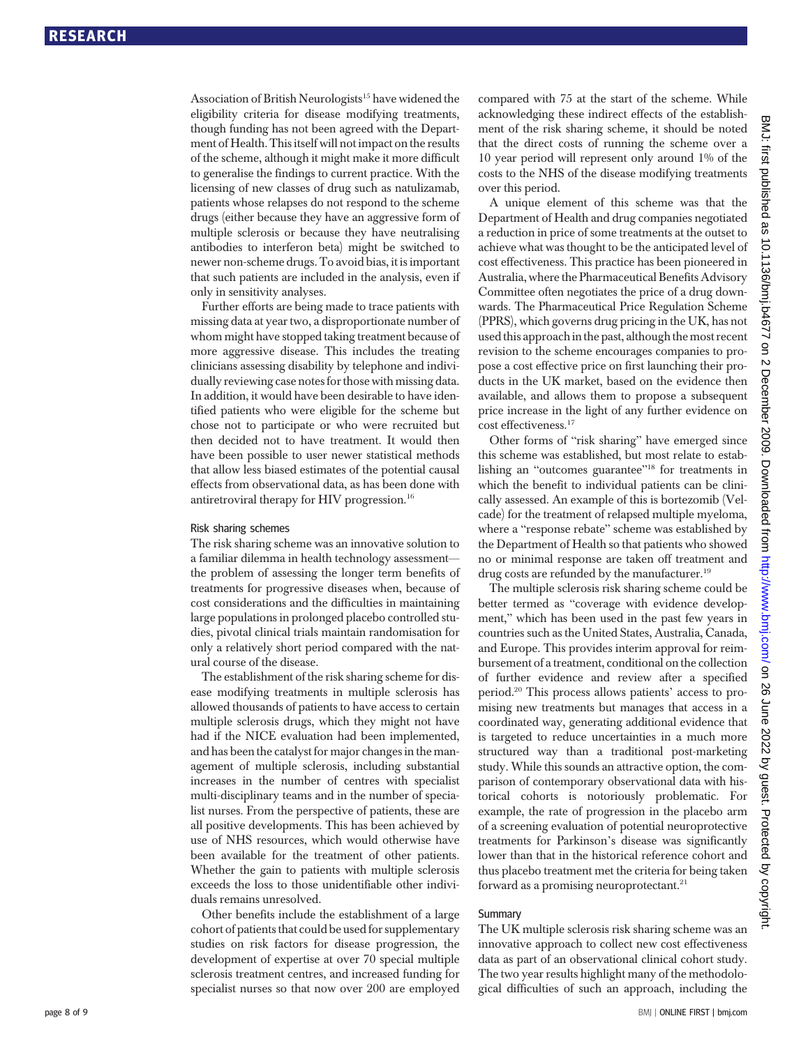Association of British Neurologists<sup>15</sup> have widened the eligibility criteria for disease modifying treatments, though funding has not been agreed with the Department of Health. This itself will not impact on the results of the scheme, although it might make it more difficult to generalise the findings to current practice. With the licensing of new classes of drug such as natulizamab, patients whose relapses do not respond to the scheme drugs (either because they have an aggressive form of multiple sclerosis or because they have neutralising antibodies to interferon beta) might be switched to newer non-scheme drugs. To avoid bias, it is important that such patients are included in the analysis, even if only in sensitivity analyses.

Further efforts are being made to trace patients with missing data at year two, a disproportionate number of whom might have stopped taking treatment because of more aggressive disease. This includes the treating clinicians assessing disability by telephone and individually reviewing case notes for those with missing data. In addition, it would have been desirable to have identified patients who were eligible for the scheme but chose not to participate or who were recruited but then decided not to have treatment. It would then have been possible to user newer statistical methods that allow less biased estimates of the potential causal effects from observational data, as has been done with antiretroviral therapy for HIV progression.<sup>16</sup>

### Risk sharing schemes

The risk sharing scheme was an innovative solution to a familiar dilemma in health technology assessment the problem of assessing the longer term benefits of treatments for progressive diseases when, because of cost considerations and the difficulties in maintaining large populations in prolonged placebo controlled studies, pivotal clinical trials maintain randomisation for only a relatively short period compared with the natural course of the disease.

The establishment of the risk sharing scheme for disease modifying treatments in multiple sclerosis has allowed thousands of patients to have access to certain multiple sclerosis drugs, which they might not have had if the NICE evaluation had been implemented, and has been the catalyst for major changes in the management of multiple sclerosis, including substantial increases in the number of centres with specialist multi-disciplinary teams and in the number of specialist nurses. From the perspective of patients, these are all positive developments. This has been achieved by use of NHS resources, which would otherwise have been available for the treatment of other patients. Whether the gain to patients with multiple sclerosis exceeds the loss to those unidentifiable other individuals remains unresolved.

Other benefits include the establishment of a large cohort of patients that could be used for supplementary studies on risk factors for disease progression, the development of expertise at over 70 special multiple sclerosis treatment centres, and increased funding for specialist nurses so that now over 200 are employed compared with 75 at the start of the scheme. While acknowledging these indirect effects of the establishment of the risk sharing scheme, it should be noted that the direct costs of running the scheme over a 10 year period will represent only around 1% of the costs to the NHS of the disease modifying treatments over this period.

A unique element of this scheme was that the Department of Health and drug companies negotiated a reduction in price of some treatments at the outset to achieve what was thought to be the anticipated level of cost effectiveness. This practice has been pioneered in Australia, where the Pharmaceutical Benefits Advisory Committee often negotiates the price of a drug downwards. The Pharmaceutical Price Regulation Scheme (PPRS), which governs drug pricing in the UK, has not used this approach in the past, although the most recent revision to the scheme encourages companies to propose a cost effective price on first launching their products in the UK market, based on the evidence then available, and allows them to propose a subsequent price increase in the light of any further evidence on cost effectiveness.17

Other forms of "risk sharing" have emerged since this scheme was established, but most relate to establishing an "outcomes guarantee"<sup>18</sup> for treatments in which the benefit to individual patients can be clinically assessed. An example of this is bortezomib (Velcade) for the treatment of relapsed multiple myeloma, where a "response rebate" scheme was established by the Department of Health so that patients who showed no or minimal response are taken off treatment and drug costs are refunded by the manufacturer.<sup>19</sup>

The multiple sclerosis risk sharing scheme could be better termed as "coverage with evidence development," which has been used in the past few years in countries such as the United States, Australia, Canada, and Europe. This provides interim approval for reimbursement of a treatment, conditional on the collection of further evidence and review after a specified period.20 This process allows patients' access to promising new treatments but manages that access in a coordinated way, generating additional evidence that is targeted to reduce uncertainties in a much more structured way than a traditional post-marketing study. While this sounds an attractive option, the comparison of contemporary observational data with historical cohorts is notoriously problematic. For example, the rate of progression in the placebo arm of a screening evaluation of potential neuroprotective treatments for Parkinson's disease was significantly lower than that in the historical reference cohort and thus placebo treatment met the criteria for being taken forward as a promising neuroprotectant.<sup>21</sup>

### **Summary**

The UK multiple sclerosis risk sharing scheme was an innovative approach to collect new cost effectiveness data as part of an observational clinical cohort study. The two year results highlight many of the methodological difficulties of such an approach, including the